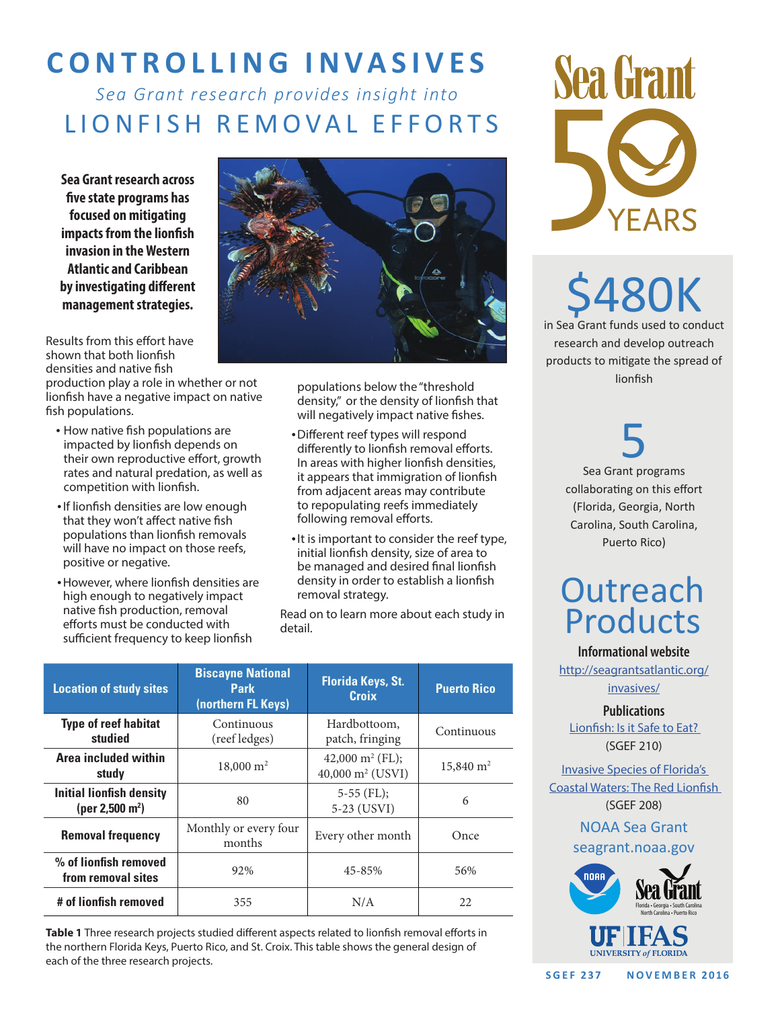# **CONTROLLING INVASIVES**

### *Sea Grant research provides insight into*  LIONFISH REMOVAL EFFORTS

**Sea Grant research across five state programs has focused on mitigating impacts from the lionfish invasion in the Western Atlantic and Caribbean by investigating different management strategies.**

Results from this effort have shown that both lionfish densities and native fish

production play a role in whether or not lionfish have a negative impact on native fish populations.

- How native fish populations are impacted by lionfish depends on their own reproductive effort, growth rates and natural predation, as well as competition with lionfish.
- •If lionfish densities are low enough that they won't affect native fish populations than lionfish removals will have no impact on those reefs, positive or negative.
- •However, where lionfish densities are high enough to negatively impact native fish production, removal efforts must be conducted with sufficient frequency to keep lionfish



populations below the "threshold density," or the density of lionfish that will negatively impact native fishes.

- •Different reef types will respond differently to lionfish removal efforts. In areas with higher lionfish densities, it appears that immigration of lionfish from adjacent areas may contribute to repopulating reefs immediately following removal efforts.
- •It is important to consider the reef type, initial lionfish density, size of area to be managed and desired final lionfish density in order to establish a lionfish removal strategy.

Read on to learn more about each study in detail.

| <b>Location of study sites</b>                                 | <b>Biscayne National</b><br><b>Park</b><br>(northern FL Keys) | <b>Florida Keys, St.</b><br><b>Croix</b>                           | <b>Puerto Rico</b>   |
|----------------------------------------------------------------|---------------------------------------------------------------|--------------------------------------------------------------------|----------------------|
| <b>Type of reef habitat</b><br>studied                         | Continuous<br>(reef ledges)                                   | Hardbottoom,<br>patch, fringing                                    | Continuous           |
| Area included within<br>study                                  | $18,000 \text{ m}^2$                                          | 42,000 m <sup>2</sup> (FL);<br>$40,000 \text{ m}^2 \text{ (USVI)}$ | $15,840 \text{ m}^2$ |
| <b>Initial lionfish density</b><br>(per 2,500 m <sup>2</sup> ) | 80                                                            | $5-55$ (FL);<br>5-23 (USVI)                                        | 6                    |
| <b>Removal frequency</b>                                       | Monthly or every four<br>months                               | Every other month                                                  | Once                 |
| % of lionfish removed<br>from removal sites                    | 92%                                                           | 45-85%                                                             | 56%                  |
| # of lionfish removed                                          | 355                                                           | N/A                                                                | 22                   |

**Table 1** Three research projects studied different aspects related to lionfish removal efforts in the northern Florida Keys, Puerto Rico, and St. Croix. This table shows the general design of each of the three research projects.



480K in Sea Grant funds used to conduct research and develop outreach products to mitigate the spread of lionfish

> 5 Sea Grant programs collaborating on this effort (Florida, Georgia, North Carolina, South Carolina, Puerto Rico)

## **Outreach** Products

**Informational website**

http://seagrantsatlantic.org/ invasives/

**Publications**

Lionfish: Is it Safe to Eat? (SGEF 210)

Invasive Species of Florida's Coastal Waters: The Red Lionfish (SGEF 208)

NOAA Sea Grant

### seagrant.noaa.gov